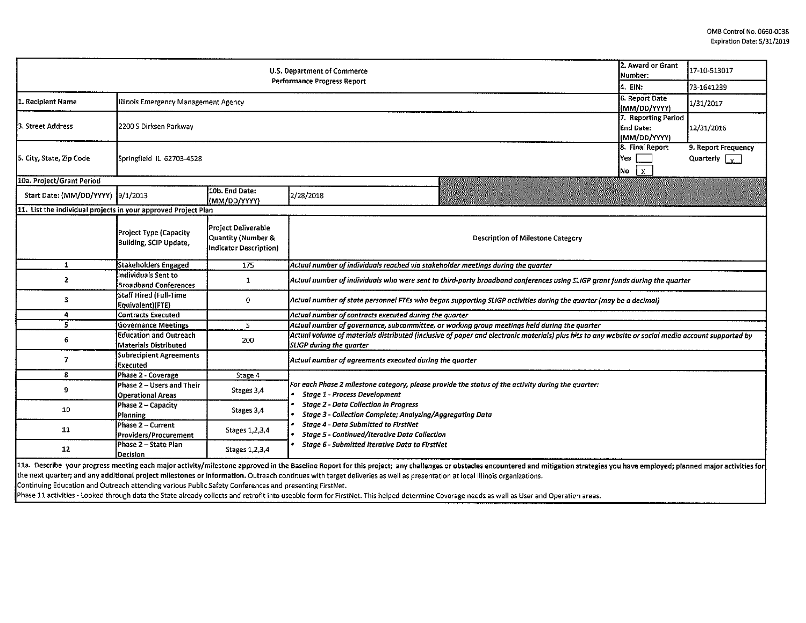| 2. Award or Grant<br>U.S. Department of Commerce<br>Number:<br><b>Performance Progress Report</b> |                                                                                                                                                                                 |                                                                            |                                                                                                                                                                                                                                |                                                 | 17-10-513017                                |
|---------------------------------------------------------------------------------------------------|---------------------------------------------------------------------------------------------------------------------------------------------------------------------------------|----------------------------------------------------------------------------|--------------------------------------------------------------------------------------------------------------------------------------------------------------------------------------------------------------------------------|-------------------------------------------------|---------------------------------------------|
|                                                                                                   | 14. EIN:                                                                                                                                                                        | 73-1641239                                                                 |                                                                                                                                                                                                                                |                                                 |                                             |
| 1. Recipient Name<br>Illinois Emergency Management Agency                                         |                                                                                                                                                                                 |                                                                            |                                                                                                                                                                                                                                | 6. Report Date<br>(MM/DD/YYYY)                  | 1/31/2017                                   |
| 3. Street Address                                                                                 | 7. Reporting Period<br>2200 S Dirksen Parkway<br>End Date:<br>(MM/DD/YYYY)                                                                                                      |                                                                            |                                                                                                                                                                                                                                |                                                 | 12/31/2016                                  |
| 5. City, State, Zip Code                                                                          | Springfield IL 62703-4528                                                                                                                                                       |                                                                            |                                                                                                                                                                                                                                | 8. Final Report<br>lYes.<br>$\mathbf{x}$<br>No. | 9. Report Frequency<br>Quarterly $\sqrt{v}$ |
| 10a. Project/Grant Period                                                                         |                                                                                                                                                                                 |                                                                            |                                                                                                                                                                                                                                |                                                 |                                             |
| Start Date: (MM/DD/YYYY) 9/1/2013                                                                 |                                                                                                                                                                                 | 10b. End Date:<br>(MM/DD/YYYY)                                             | 2/28/2018                                                                                                                                                                                                                      |                                                 |                                             |
| 11. List the individual projects in your approved Project Plan                                    |                                                                                                                                                                                 |                                                                            |                                                                                                                                                                                                                                |                                                 |                                             |
|                                                                                                   | <b>Project Type (Capacity</b><br>Building, SCIP Update,                                                                                                                         | Project Deliverable<br>Quantity (Number &<br><b>Indicator Description)</b> | <b>Description of Milestone Category</b>                                                                                                                                                                                       |                                                 |                                             |
| 1                                                                                                 | Stakeholders Engaged                                                                                                                                                            | 175                                                                        | Actual number of individuals reached via stakeholder meetings during the quarter                                                                                                                                               |                                                 |                                             |
| 2                                                                                                 | Individuals Sent to<br><b>Broadband Conferences</b>                                                                                                                             | 1                                                                          | Actual number of individuals who were sent to third-party broadband conferences using SLIGP grant funds during the quarter                                                                                                     |                                                 |                                             |
| 3                                                                                                 | Staff Hired (Full-Time<br>$\mathbf{0}$<br>Actual number of state personnel FTEs who began supporting SLIGP activities during the quarter (may be a decimal)<br>Equivalent)(FTE) |                                                                            |                                                                                                                                                                                                                                |                                                 |                                             |
| 4                                                                                                 | <b>Contracts Executed</b>                                                                                                                                                       |                                                                            | Actual number of contracts executed during the quarter                                                                                                                                                                         |                                                 |                                             |
| 5.                                                                                                | Governance Meetings                                                                                                                                                             | 5                                                                          | Actual number of governance, subcommittee, or working group meetings held during the quarter                                                                                                                                   |                                                 |                                             |
| 6                                                                                                 | <b>Education and Outreach</b><br>Materials Distributed                                                                                                                          | 200                                                                        | Actual volume of materials distributed (inclusive of paper and electronic materials) plus his to any website or social media account supported by<br><b>SLIGP</b> during the quarter                                           |                                                 |                                             |
| 7                                                                                                 | <b>Subrecipient Agreements</b><br>Executed                                                                                                                                      |                                                                            | Actual number of agreements executed during the quarter                                                                                                                                                                        |                                                 |                                             |
| 8                                                                                                 | Phase 2 - Coverage                                                                                                                                                              | Stage 4                                                                    |                                                                                                                                                                                                                                |                                                 |                                             |
| 9                                                                                                 | Phase 2 - Users and Their<br><b>Operational Areas</b>                                                                                                                           | Stages 3,4                                                                 | For each Phase 2 milestone category, please provide the status of the activity during the guarter:<br><b>Stage 1 - Process Development</b>                                                                                     |                                                 |                                             |
| 10                                                                                                | Phase 2 - Capacity<br>Planning                                                                                                                                                  | Stages 3,4                                                                 | <b>Stage 2 - Data Collection in Progress</b><br><b>Stage 3 - Collection Complete; Analyzing/Aggregating Data</b>                                                                                                               |                                                 |                                             |
| 11                                                                                                | Phase 2 - Current<br>Providers/Procurement                                                                                                                                      | Stages 1,2,3,4                                                             | <b>Stage 4 - Data Submitted to FirstNet</b><br><b>Stage 5 - Continued/Iterative Data Collection</b>                                                                                                                            |                                                 |                                             |
| 12                                                                                                | Phase 2 - State Plan<br>Decision                                                                                                                                                |                                                                            |                                                                                                                                                                                                                                |                                                 |                                             |
|                                                                                                   |                                                                                                                                                                                 |                                                                            | 11a Decribe vour progress meeting aach major activity (milectone approved in the Baseline Ronort for this projects, any challenges or obstacles accountered and mitiagtion strategies strategies and points and provide the pr |                                                 |                                             |

la. Describe your progress meeting each major activity/milestone approved in the Baseline Report for this project; any challenges or obstacles encountered and mitigation strategies you have employed; planned major activiti the next quarter; and any additional project milestones or information. Outreach continues with target deliveries as well as presentation at local Illinois organizations.

Continuing Education and Outreach attending various Public Safety Conferences and presenting FirstNet.

Phase 11 activities - Looked through data the State already collects and retrofit into useable form for FirstNet. This helped determine Coverage needs as well as User and Operatic areas.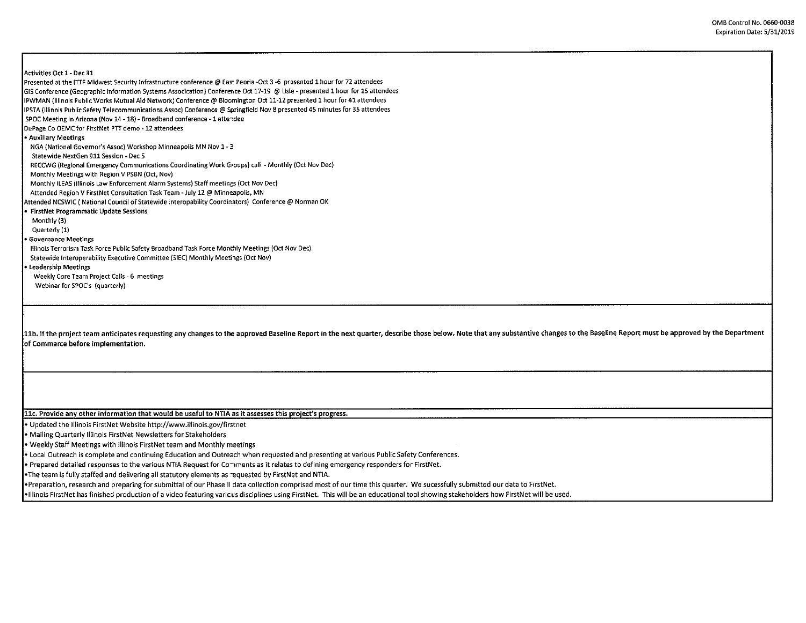## Activities Oct 1- Dec 31

Presented at the ITTF Midwest Security Infrastructure conference@ Eas: Peoria -Oct 3 -6 presented 1 hour for 72 attendees GIS Conference (Geographic Information Systems Assocication) Conference Oct 17-19 @ Lisle - presented 1 hour for lS attendees IPWMAN (Illinois Public Works Mutual Aid Network: Conference@ B1oc,mington Oct 11-12 presented 1 hour for41 attendees IPSTA (Illinois Public Safety Telecommunications Assoc) Conference@ Springfield Nov 8 presented 45 minutes for 35 attendees SPOC Meeting in Arizona (Nov 14 -18) - Broadband conference -1 atte-dee DuPage Co OEMC for FirstNet PTT demo -12 attendees • Auxiliary Meetings NGA (National Governor's Assoc) Workshop Minneapolis MN Nov 1- 3 Statewide NextGen 911 Session - Dec 5 RECCWG (Regional Emergency Communications Coordinating Work Groups) call - Monthly (Oct Nov Dec) Monthly Meetings with Region V PSBN (Oct, Nov) Monthly ILEAS (Illinois Law Enforcement Alarm Systems) Staff meetings (Oct Nov Dec) Attended Region V FirstNet Consultation Task Team - July 12 @ Minneapolis, MN Attended NCSWIC ( National Council of Statewide ;nteropability Coordinators) Conference @ Norman OK • FirstNet Programmatic Update Sessions Monthly (3) Quarterly (1) • Governance Meetings Illinois Terrorism Task Force Public Safety Broadband Task Force Monthly Meetings (Oct Nov Dec) Statewide Interoperability Executive Committee (SIEC) Monthly Meetings (Oct Nov) • Leadership Meetings Weekly Core Team Project Calls - 6 meetings Webinar for SPOC's (quarterly) 11b. If the project team anticipates requesting any changes to the approved Baseline Report in the next quarter, describe those below. Note that any substantive changes to the Baseline Report must be approved by the Depart of Commerce before implementation. 11c. Provide any other information that would be useful to NTIA as it assesses this project's progress. • Updated the Illinois FirstNet Website http://www.illinois.gov/firstnet • Mailing Quarterly Illinois FirstNet Newsletters for Stakeholders • Weekly Staff Meetings with Illinois FirstNet team and Monthly meetings • Local Outreach is complete and continuing Education and Outreach when requested and presenting at various Public Safety Conferences. • Prepared detailed responses to the various NTIA Request for Co⇒ments as it relates to defining emergency responders for FirstNet. •The team is fully staffed and delivering all statutory elements as -equested by FirstNet and NTIA.

•Preparation, research and preparing for submittal of our Phase II data collection comprised most of our time this quarter. We sucessfully submitted our data to FirstNet.

•Illinois First Net has finished production of a video featuring varicus disciplines using FirstNet. This will be an educational tool showing stakeholders how FirstNet will be used.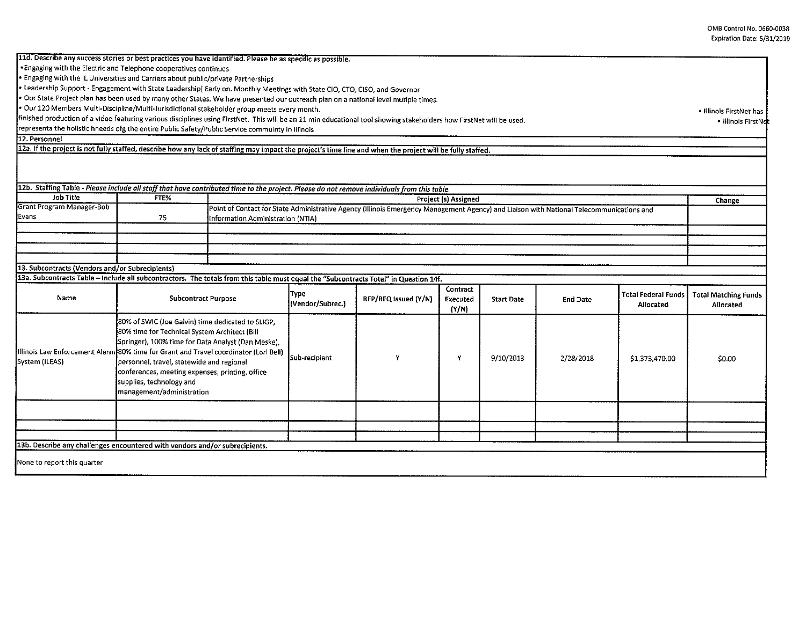11d. Describe any success stories or best practices you have identified. Please be as specific as possible. •Engaging with the Electric and Telephone cooperatives continues

• Engaging with the IL Universities and Carriers about public/private Partnerships

• Leadership Support- Engagement with State Leadership[ Early on. Monthly Meetings with State CID, CTO, CISO, and Governor

• Our State Project plan has been used by many other States. We have presented our outreach plan on a national level mutiple times.

• Our 120 Members Multi-Discipline/Multi-Jurisdictional stakeholder group meets every month.

finished production of a video featuring various disciplines using FirstNet. This will be an 11 min educational tool showing stakeholders how FirstNet will be used.

representa the holistic hneeds ofg the entire Public Safety/Public Service commuinty in Illinois

12. Personnel

12a. If the project is not fully staffed, describe how any lack of staffing may impact the project's time line and when the project will be fully staffed.

12b. Staffing Table - *Please include all staff that hove contributed time to the project. Please do not remove individuals from this table.* 

| <b>Job Title</b>          | FTE% | <b>Project (s) Assigned</b>                                                                                                              | Change |
|---------------------------|------|------------------------------------------------------------------------------------------------------------------------------------------|--------|
| Grant Program Manager-Bob |      | Point of Contact for State Administrative Agency (Illinois Emergency Management Agency) and Liaison with National Telecommunications and |        |
| Evans                     |      | Information Administration (NTIA)                                                                                                        |        |
|                           |      |                                                                                                                                          |        |
|                           |      |                                                                                                                                          |        |
|                           |      |                                                                                                                                          |        |

## 13. Subcontracts (Vendors and/or Subrecipients)

|  | 13a. Subcontracts Table – Include all subcontractors. The totals from this table must equal the "Subcontracts Total" in Question 14f |  |
|--|--------------------------------------------------------------------------------------------------------------------------------------|--|
|  |                                                                                                                                      |  |

| Name                                                                         | <b>Subcontract Purpose</b>                                                                                                                                                                                                                                                                                                                                                                                 | <b>Type</b><br>(Vendor/Subrec.) | RFP/RFQ issued (Y/N) | Contract<br>Executed<br>(Y/N) | <b>Start Date</b> | End Date  | Allocated      | Total Federal Funds   Total Matching Funds<br>Allocated |
|------------------------------------------------------------------------------|------------------------------------------------------------------------------------------------------------------------------------------------------------------------------------------------------------------------------------------------------------------------------------------------------------------------------------------------------------------------------------------------------------|---------------------------------|----------------------|-------------------------------|-------------------|-----------|----------------|---------------------------------------------------------|
| System (ILEAS)                                                               | 80% of SWIC (Joe Galvin) time dedicated to SLIGP,<br>80% time for Technical System Architect (Bill<br>[Springer], 100% time for Data Analyst (Dan Meske),<br>lllinois Law Enforcement Alarm 80% time for Grant and Travel coordinator (Lori Bell)<br>personnel, travel, statewide and regional<br>conferences, meeting expenses, printing, office<br>supplies, technology and<br>management/administration | Sub-recipient                   |                      | Y                             | 9/10/2013         | 2/28/2018 | \$1,373,470.00 | \$0.00                                                  |
|                                                                              |                                                                                                                                                                                                                                                                                                                                                                                                            |                                 |                      |                               |                   |           |                |                                                         |
|                                                                              |                                                                                                                                                                                                                                                                                                                                                                                                            |                                 |                      |                               |                   |           |                |                                                         |
|                                                                              |                                                                                                                                                                                                                                                                                                                                                                                                            |                                 |                      |                               |                   |           |                |                                                         |
| [13b. Describe any challenges encountered with vendors and/or subrecipients. |                                                                                                                                                                                                                                                                                                                                                                                                            |                                 |                      |                               |                   |           |                |                                                         |
| None to report this quarter                                                  |                                                                                                                                                                                                                                                                                                                                                                                                            |                                 |                      |                               |                   |           |                |                                                         |

• Illinois FirstNet has

• Illinois FirstNet